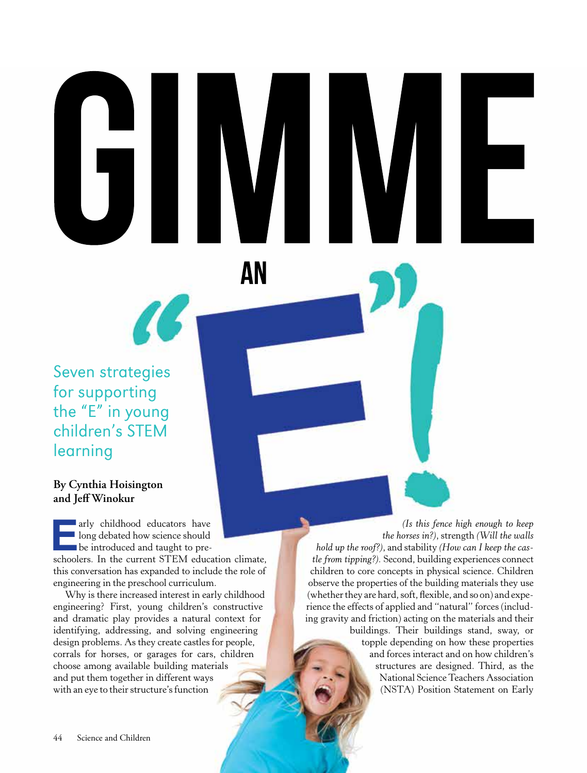# Seven strategies for supporting the "E" in young children's STEM learning

AN

#### **By Cynthia Hoisington and Jeff Winokur**

**Early** childhood educators have long debated how science should be introduced and taught to preschoolers. In the current STEM education climate, this conversation has expanded to include the role of engineering in the preschool curriculum.

Why is there increased interest in early childhood engineering? First, young children's constructive and dramatic play provides a natural context for identifying, addressing, and solving engineering design problems. As they create castles for people, corrals for horses, or garages for cars, children choose among available building materials and put them together in different ways with an eye to their structure's function

*(Is this fence high enough to keep the horses in?)*, strength *(Will the walls hold up the roof?)*, and stability *(How can I keep the castle from tipping?).* Second, building experiences connect children to core concepts in physical science. Children observe the properties of the building materials they use (whether they are hard, soft, flexible, and so on) and experience the effects of applied and "natural" forces (including gravity and friction) acting on the materials and their buildings. Their buildings stand, sway, or topple depending on how these properties and forces interact and on how children's structures are designed. Third, as the National Science Teachers Association (NSTA) Position Statement on Early

 $\overline{\phantom{a}}$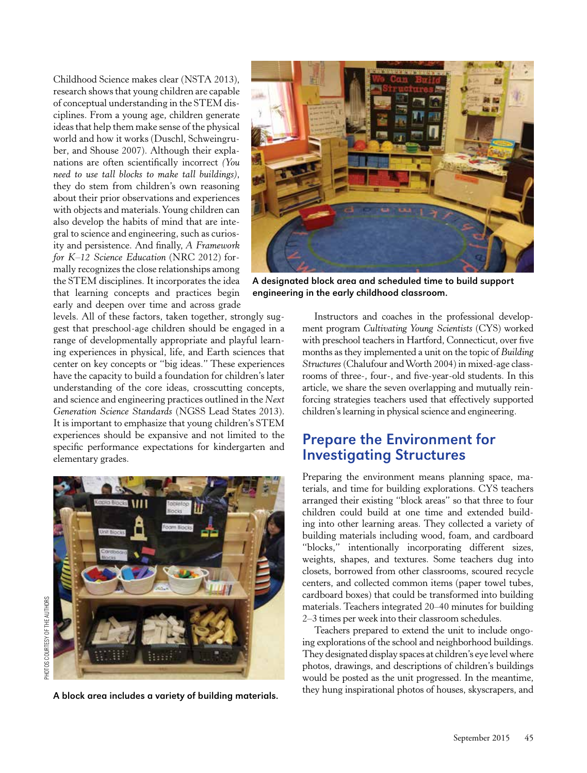Childhood Science makes clear (NSTA 2013), research shows that young children are capable of conceptual understanding in the STEM disciplines. From a young age, children generate ideas that help them make sense of the physical world and how it works (Duschl, Schweingruber, and Shouse 2007). Although their explanations are often scientifically incorrect *(You need to use tall blocks to make tall buildings)*, they do stem from children's own reasoning about their prior observations and experiences with objects and materials. Young children can also develop the habits of mind that are integral to science and engineering, such as curiosity and persistence. And finally, *A Framework for K–12 Science Education* (NRC 2012) formally recognizes the close relationships among the STEM disciplines. It incorporates the idea that learning concepts and practices begin early and deepen over time and across grade

levels. All of these factors, taken together, strongly suggest that preschool-age children should be engaged in a range of developmentally appropriate and playful learning experiences in physical, life, and Earth sciences that center on key concepts or "big ideas." These experiences have the capacity to build a foundation for children's later understanding of the core ideas, crosscutting concepts, and science and engineering practices outlined in the *Next Generation Science Standards* (NGSS Lead States 2013). It is important to emphasize that young children's STEM experiences should be expansive and not limited to the specific performance expectations for kindergarten and elementary grades.

*Structures* (Chalufour and Worth 2004) in mixed-age classrooms of three-, four-, and five-year-old students. In this article, we share the seven overlapping and mutually reinforcing strategies teachers used that effectively supported children's learning in physical science and engineering.

Instructors and coaches in the professional development program *Cultivating Young Scientists* (CYS) worked with preschool teachers in Hartford, Connecticut, over five months as they implemented a unit on the topic of *Building* 

### Prepare the Environment for Investigating Structures

Preparing the environment means planning space, materials, and time for building explorations. CYS teachers arranged their existing "block areas" so that three to four children could build at one time and extended building into other learning areas. They collected a variety of building materials including wood, foam, and cardboard "blocks," intentionally incorporating different sizes, weights, shapes, and textures. Some teachers dug into closets, borrowed from other classrooms, scoured recycle centers, and collected common items (paper towel tubes, cardboard boxes) that could be transformed into building materials. Teachers integrated 20–40 minutes for building 2–3 times per week into their classroom schedules.

Teachers prepared to extend the unit to include ongoing explorations of the school and neighborhood buildings. They designated display spaces at children's eye level where photos, drawings, and descriptions of children's buildings would be posted as the unit progressed. In the meantime, they hung inspirational photos of houses, skyscrapers, and

**HOTOS COURTESY OF THE AUTHORS** PHOTOS COURTESY OF THE AUTHORS

A block area includes a variety of building materials.





engineering in the early childhood classroom.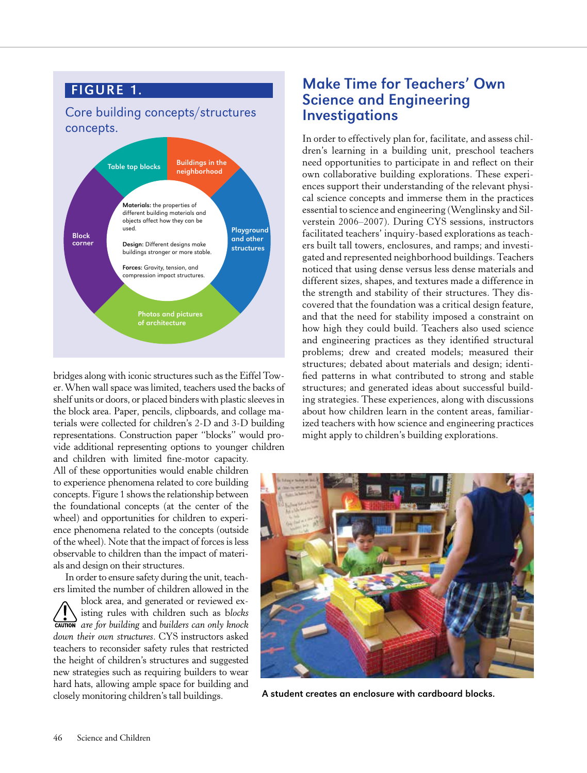### FIGURE 1.

### Core building concepts/structures concepts.



bridges along with iconic structures such as the Eiffel Tower. When wall space was limited, teachers used the backs of shelf units or doors, or placed binders with plastic sleeves in the block area. Paper, pencils, clipboards, and collage materials were collected for children's 2-D and 3-D building representations. Construction paper "blocks" would provide additional representing options to younger children

and children with limited fine-motor capacity. All of these opportunities would enable children to experience phenomena related to core building concepts. Figure 1 shows the relationship between the foundational concepts (at the center of the wheel) and opportunities for children to experience phenomena related to the concepts (outside of the wheel). Note that the impact of forces is less observable to children than the impact of materials and design on their structures.

In order to ensure safety during the unit, teachers limited the number of children allowed in the block area, and generated or reviewed existing rules with children such as b*locks are for building* and *builders can only knock down their own structures*. CYS instructors asked teachers to reconsider safety rules that restricted the height of children's structures and suggested new strategies such as requiring builders to wear hard hats, allowing ample space for building and closely monitoring children's tall buildings.

### Make Time for Teachers' Own Science and Engineering Investigations

In order to effectively plan for, facilitate, and assess children's learning in a building unit, preschool teachers need opportunities to participate in and reflect on their own collaborative building explorations. These experiences support their understanding of the relevant physical science concepts and immerse them in the practices essential to science and engineering (Wenglinsky and Silverstein 2006–2007). During CYS sessions, instructors facilitated teachers' inquiry-based explorations as teachers built tall towers, enclosures, and ramps; and investigated and represented neighborhood buildings. Teachers noticed that using dense versus less dense materials and different sizes, shapes, and textures made a difference in the strength and stability of their structures. They discovered that the foundation was a critical design feature, and that the need for stability imposed a constraint on how high they could build. Teachers also used science and engineering practices as they identified structural problems; drew and created models; measured their structures; debated about materials and design; identified patterns in what contributed to strong and stable structures; and generated ideas about successful building strategies. These experiences, along with discussions about how children learn in the content areas, familiarized teachers with how science and engineering practices might apply to children's building explorations.



A student creates an enclosure with cardboard blocks.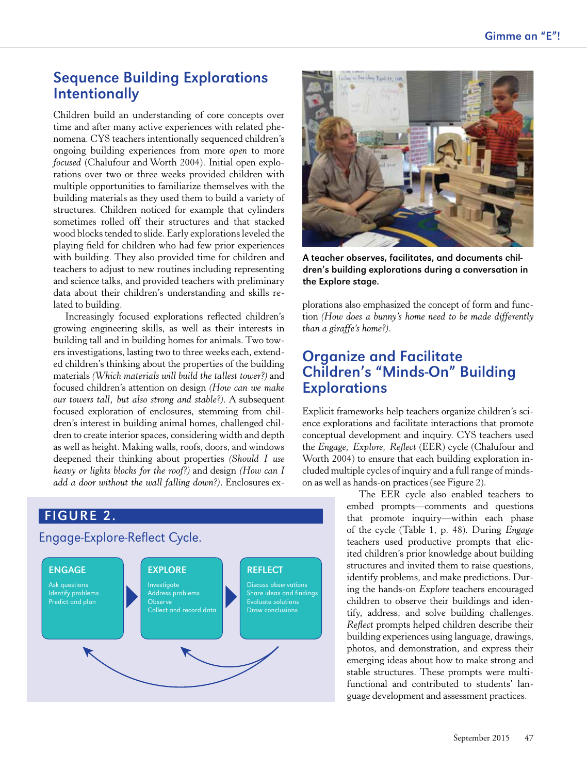# Sequence Building Explorations **Intentionally**

Children build an understanding of core concepts over time and after many active experiences with related phenomena. CYS teachers intentionally sequenced children's ongoing building experiences from more *open* to more *focused* (Chalufour and Worth 2004). Initial open explorations over two or three weeks provided children with multiple opportunities to familiarize themselves with the building materials as they used them to build a variety of structures. Children noticed for example that cylinders sometimes rolled off their structures and that stacked wood blocks tended to slide. Early explorations leveled the playing field for children who had few prior experiences with building. They also provided time for children and teachers to adjust to new routines including representing and science talks, and provided teachers with preliminary data about their children's understanding and skills related to building.

Increasingly focused explorations reflected children's growing engineering skills, as well as their interests in building tall and in building homes for animals. Two towers investigations, lasting two to three weeks each, extended children's thinking about the properties of the building materials *(Which materials will build the tallest tower?)* and focused children's attention on design *(How can we make our towers tall, but also strong and stable?)*. A subsequent focused exploration of enclosures, stemming from children's interest in building animal homes, challenged children to create interior spaces, considering width and depth as well as height. Making walls, roofs, doors, and windows deepened their thinking about properties *(Should I use heavy or lights blocks for the roof?)* and design *(How can I add a door without the wall falling down?)*. Enclosures ex-

### FIGURE 2.

### Engage-Explore-Reflect Cycle.





A teacher observes, facilitates, and documents children's building explorations during a conversation in the Explore stage.

plorations also emphasized the concept of form and function *(How does a bunny's home need to be made differently than a giraffe's home?)*.

### Organize and Facilitate Children's "Minds-On" Building **Explorations**

Explicit frameworks help teachers organize children's science explorations and facilitate interactions that promote conceptual development and inquiry. CYS teachers used the *Engage, Explore, Reflect* (EER) cycle (Chalufour and Worth 2004) to ensure that each building exploration included multiple cycles of inquiry and a full range of mindson as well as hands-on practices (see Figure 2).

> The EER cycle also enabled teachers to embed prompts—comments and questions that promote inquiry—within each phase of the cycle (Table 1, p. 48). During *Engage* teachers used productive prompts that elicited children's prior knowledge about building structures and invited them to raise questions, identify problems, and make predictions. During the hands-on *Explore* teachers encouraged children to observe their buildings and identify, address, and solve building challenges. *Reflect* prompts helped children describe their building experiences using language, drawings, photos, and demonstration, and express their emerging ideas about how to make strong and stable structures. These prompts were multifunctional and contributed to students' language development and assessment practices.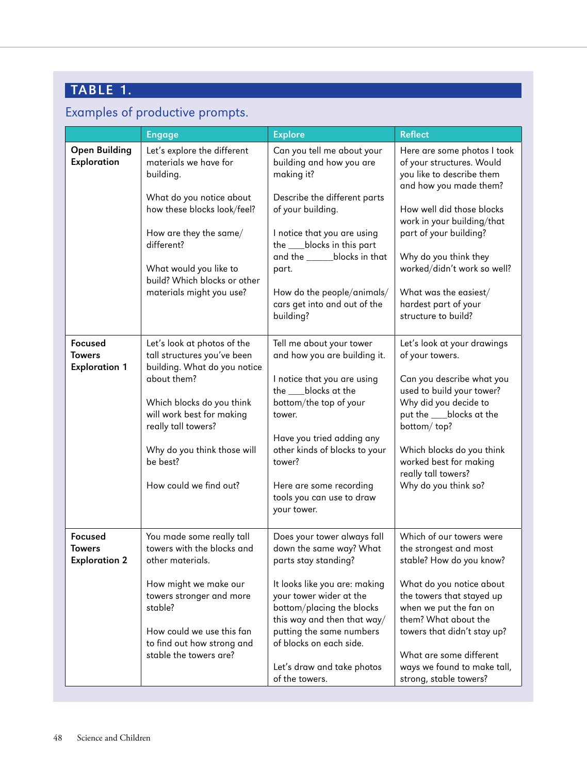# TABLE 1.

# Examples of productive prompts.

|                                                         | <b>Engage</b>                                                                                                                                                                                                                                                   | <b>Explore</b>                                                                                                                                                                                                                                                                                                | <b>Reflect</b>                                                                                                                                                                                                                                                                                               |
|---------------------------------------------------------|-----------------------------------------------------------------------------------------------------------------------------------------------------------------------------------------------------------------------------------------------------------------|---------------------------------------------------------------------------------------------------------------------------------------------------------------------------------------------------------------------------------------------------------------------------------------------------------------|--------------------------------------------------------------------------------------------------------------------------------------------------------------------------------------------------------------------------------------------------------------------------------------------------------------|
| <b>Open Building</b><br><b>Exploration</b>              | Let's explore the different<br>materials we have for<br>building.<br>What do you notice about<br>how these blocks look/feel?                                                                                                                                    | Can you tell me about your<br>building and how you are<br>making it?<br>Describe the different parts<br>of your building.                                                                                                                                                                                     | Here are some photos I took<br>of your structures. Would<br>you like to describe them<br>and how you made them?<br>How well did those blocks<br>work in your building/that                                                                                                                                   |
|                                                         | How are they the same/<br>different?<br>What would you like to<br>build? Which blocks or other<br>materials might you use?                                                                                                                                      | I notice that you are using<br>the ____blocks in this part<br>and the _______blocks in that<br>part.<br>How do the people/animals/<br>cars get into and out of the<br>building?                                                                                                                               | part of your building?<br>Why do you think they<br>worked/didn't work so well?<br>What was the easiest/<br>hardest part of your<br>structure to build?                                                                                                                                                       |
| Focused<br><b>Towers</b><br><b>Exploration 1</b>        | Let's look at photos of the<br>tall structures you've been<br>building. What do you notice<br>about them?<br>Which blocks do you think<br>will work best for making<br>really tall towers?<br>Why do you think those will<br>be best?<br>How could we find out? | Tell me about your tower<br>and how you are building it.<br>I notice that you are using<br>the ____blocks at the<br>bottom/the top of your<br>tower.<br>Have you tried adding any<br>other kinds of blocks to your<br>tower?<br>Here are some recording<br>tools you can use to draw<br>your tower.           | Let's look at your drawings<br>of your towers.<br>Can you describe what you<br>used to build your tower?<br>Why did you decide to<br>put the ____blocks at the<br>bottom/top?<br>Which blocks do you think<br>worked best for making<br>really tall towers?<br>Why do you think so?                          |
| <b>Focused</b><br><b>Towers</b><br><b>Exploration 2</b> | You made some really tall<br>towers with the blocks and<br>other materials.<br>How might we make our<br>towers stronger and more<br>stable?<br>How could we use this fan<br>to find out how strong and<br>stable the towers are?                                | Does your tower always fall<br>down the same way? What<br>parts stay standing?<br>It looks like you are: making<br>your tower wider at the<br>bottom/placing the blocks<br>this way and then that way/<br>putting the same numbers<br>of blocks on each side.<br>Let's draw and take photos<br>of the towers. | Which of our towers were<br>the strongest and most<br>stable? How do you know?<br>What do you notice about<br>the towers that stayed up<br>when we put the fan on<br>them? What about the<br>towers that didn't stay up?<br>What are some different<br>ways we found to make tall,<br>strong, stable towers? |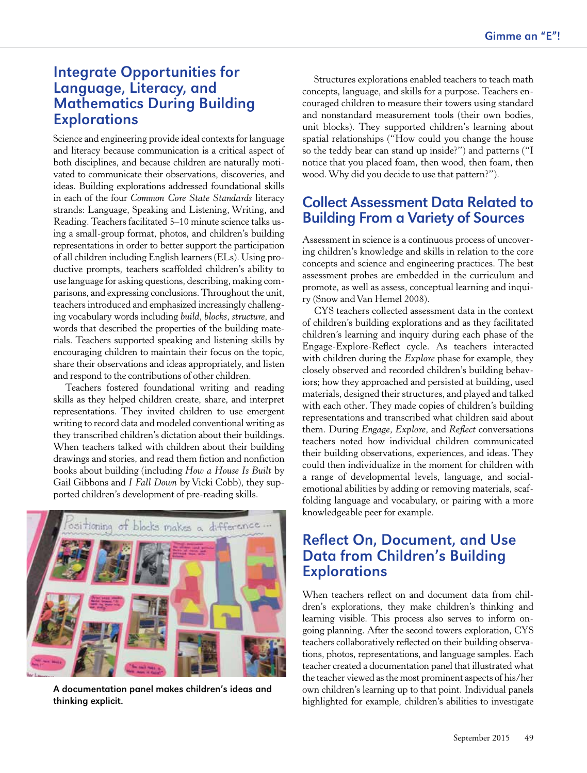# Integrate Opportunities for Language, Literacy, and Mathematics During Building **Explorations**

Science and engineering provide ideal contexts for language and literacy because communication is a critical aspect of both disciplines, and because children are naturally motivated to communicate their observations, discoveries, and ideas. Building explorations addressed foundational skills in each of the four *Common Core State Standards* literacy strands: Language, Speaking and Listening, Writing, and Reading. Teachers facilitated 5–10 minute science talks using a small-group format, photos, and children's building representations in order to better support the participation of all children including English learners (ELs). Using productive prompts, teachers scaffolded children's ability to use language for asking questions, describing, making comparisons, and expressing conclusions. Throughout the unit, teachers introduced and emphasized increasingly challenging vocabulary words including *build*, *blocks*, *structure*, and words that described the properties of the building materials. Teachers supported speaking and listening skills by encouraging children to maintain their focus on the topic, share their observations and ideas appropriately, and listen and respond to the contributions of other children.

Teachers fostered foundational writing and reading skills as they helped children create, share, and interpret representations. They invited children to use emergent writing to record data and modeled conventional writing as they transcribed children's dictation about their buildings. When teachers talked with children about their building drawings and stories, and read them fiction and nonfiction books about building (including *How a House Is Built* by Gail Gibbons and *I Fall Down* by Vicki Cobb), they supported children's development of pre-reading skills.



A documentation panel makes children's ideas and thinking explicit.

Structures explorations enabled teachers to teach math concepts, language, and skills for a purpose. Teachers encouraged children to measure their towers using standard and nonstandard measurement tools (their own bodies, unit blocks). They supported children's learning about spatial relationships ("How could you change the house so the teddy bear can stand up inside?") and patterns ("I notice that you placed foam, then wood, then foam, then wood. Why did you decide to use that pattern?").

# Collect Assessment Data Related to Building From a Variety of Sources

Assessment in science is a continuous process of uncovering children's knowledge and skills in relation to the core concepts and science and engineering practices. The best assessment probes are embedded in the curriculum and promote, as well as assess, conceptual learning and inquiry (Snow and Van Hemel 2008).

CYS teachers collected assessment data in the context of children's building explorations and as they facilitated children's learning and inquiry during each phase of the Engage-Explore-Reflect cycle. As teachers interacted with children during the *Explore* phase for example, they closely observed and recorded children's building behaviors; how they approached and persisted at building, used materials, designed their structures, and played and talked with each other. They made copies of children's building representations and transcribed what children said about them. During *Engage*, *Explore*, and *Reflect* conversations teachers noted how individual children communicated their building observations, experiences, and ideas. They could then individualize in the moment for children with a range of developmental levels, language, and socialemotional abilities by adding or removing materials, scaffolding language and vocabulary, or pairing with a more knowledgeable peer for example.

# Reflect On, Document, and Use Data from Children's Building **Explorations**

When teachers reflect on and document data from children's explorations, they make children's thinking and learning visible. This process also serves to inform ongoing planning. After the second towers exploration, CYS teachers collaboratively reflected on their building observations, photos, representations, and language samples. Each teacher created a documentation panel that illustrated what the teacher viewed as the most prominent aspects of his/her own children's learning up to that point. Individual panels highlighted for example, children's abilities to investigate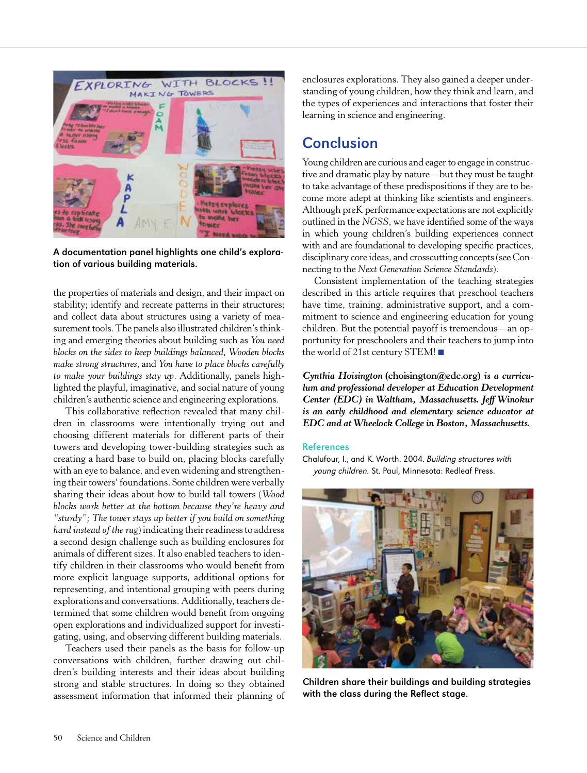

A documentation panel highlights one child's exploration of various building materials.

the properties of materials and design, and their impact on stability; identify and recreate patterns in their structures; and collect data about structures using a variety of measurement tools. The panels also illustrated children's thinking and emerging theories about building such as *You need blocks on the sides to keep buildings balanced*, *Wooden blocks make strong structures*, and *You have to place blocks carefully to make your buildings stay up*. Additionally, panels highlighted the playful, imaginative, and social nature of young children's authentic science and engineering explorations.

This collaborative reflection revealed that many children in classrooms were intentionally trying out and choosing different materials for different parts of their towers and developing tower-building strategies such as creating a hard base to build on, placing blocks carefully with an eye to balance, and even widening and strengthening their towers' foundations. Some children were verbally sharing their ideas about how to build tall towers (*Wood blocks work better at the bottom because they're heavy and "sturdy"; The tower stays up better if you build on something hard instead of the rug*) indicating their readiness to address a second design challenge such as building enclosures for animals of different sizes. It also enabled teachers to identify children in their classrooms who would benefit from more explicit language supports, additional options for representing, and intentional grouping with peers during explorations and conversations. Additionally, teachers determined that some children would benefit from ongoing open explorations and individualized support for investigating, using, and observing different building materials.

Teachers used their panels as the basis for follow-up conversations with children, further drawing out children's building interests and their ideas about building strong and stable structures. In doing so they obtained assessment information that informed their planning of

enclosures explorations. They also gained a deeper understanding of young children, how they think and learn, and the types of experiences and interactions that foster their learning in science and engineering.

# Conclusion

Young children are curious and eager to engage in constructive and dramatic play by nature—but they must be taught to take advantage of these predispositions if they are to become more adept at thinking like scientists and engineers. Although preK performance expectations are not explicitly outlined in the *NGSS*, we have identified some of the ways in which young children's building experiences connect with and are foundational to developing specific practices, disciplinary core ideas, and crosscutting concepts (see Connecting to the *Next Generation Science Standards*).

Consistent implementation of the teaching strategies described in this article requires that preschool teachers have time, training, administrative support, and a commitment to science and engineering education for young children. But the potential payoff is tremendous—an opportunity for preschoolers and their teachers to jump into the world of 21st century STEM! ■

*Cynthia Hoisington* **(choisington@edc.org)** *is a curriculum and professional developer at Education Development Center (EDC) in Waltham, Massachusetts. Jeff Winokur is an early childhood and elementary science educator at EDC and at Wheelock College in Boston, Massachusetts.*

#### **References**

Chalufour, I., and K. Worth. 2004. Building structures with young children. St. Paul, Minnesota: Redleaf Press.



Children share their buildings and building strategies with the class during the Reflect stage.